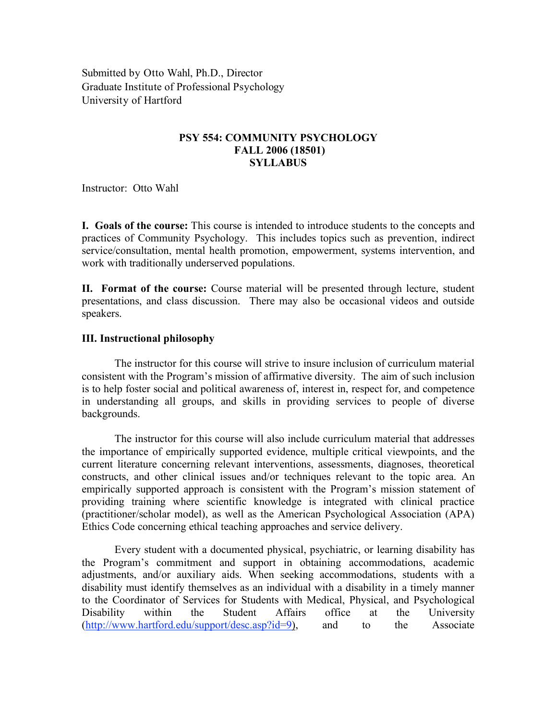Submitted by Otto Wahl, Ph.D., Director Graduate Institute of Professional Psychology University of Hartford

# **PSY 554: COMMUNITY PSYCHOLOGY FALL 2006 (18501) SYLLABUS**

Instructor: Otto Wahl

**I. Goals of the course:** This course is intended to introduce students to the concepts and practices of Community Psychology. This includes topics such as prevention, indirect service/consultation, mental health promotion, empowerment, systems intervention, and work with traditionally underserved populations.

**II. Format of the course:** Course material will be presented through lecture, student presentations, and class discussion. There may also be occasional videos and outside speakers.

# **III. Instructional philosophy**

The instructor for this course will strive to insure inclusion of curriculum material consistent with the Program's mission of affirmative diversity. The aim of such inclusion is to help foster social and political awareness of, interest in, respect for, and competence in understanding all groups, and skills in providing services to people of diverse backgrounds.

The instructor for this course will also include curriculum material that addresses the importance of empirically supported evidence, multiple critical viewpoints, and the current literature concerning relevant interventions, assessments, diagnoses, theoretical constructs, and other clinical issues and/or techniques relevant to the topic area. An empirically supported approach is consistent with the Program's mission statement of providing training where scientific knowledge is integrated with clinical practice (practitioner/scholar model), as well as the American Psychological Association (APA) Ethics Code concerning ethical teaching approaches and service delivery.

Every student with a documented physical, psychiatric, or learning disability has the Program's commitment and support in obtaining accommodations, academic adjustments, and/or auxiliary aids. When seeking accommodations, students with a disability must identify themselves as an individual with a disability in a timely manner to the Coordinator of Services for Students with Medical, Physical, and Psychological Disability within the Student Affairs office at the University (http://www.hartford.edu/support/desc.asp?id=9), and to the Associate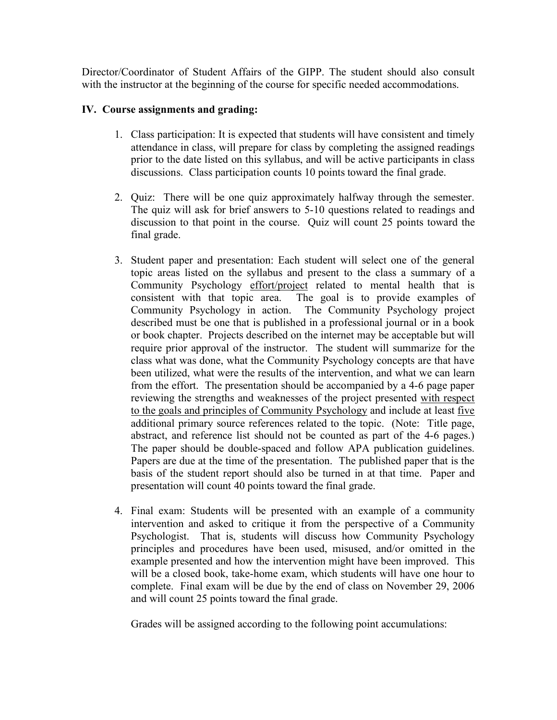Director/Coordinator of Student Affairs of the GIPP. The student should also consult with the instructor at the beginning of the course for specific needed accommodations.

# **IV. Course assignments and grading:**

- 1. Class participation: It is expected that students will have consistent and timely attendance in class, will prepare for class by completing the assigned readings prior to the date listed on this syllabus, and will be active participants in class discussions. Class participation counts 10 points toward the final grade.
- 2. Quiz: There will be one quiz approximately halfway through the semester. The quiz will ask for brief answers to 5-10 questions related to readings and discussion to that point in the course. Quiz will count 25 points toward the final grade.
- 3. Student paper and presentation: Each student will select one of the general topic areas listed on the syllabus and present to the class a summary of a Community Psychology effort/project related to mental health that is consistent with that topic area. The goal is to provide examples of Community Psychology in action. The Community Psychology project described must be one that is published in a professional journal or in a book or book chapter. Projects described on the internet may be acceptable but will require prior approval of the instructor. The student will summarize for the class what was done, what the Community Psychology concepts are that have been utilized, what were the results of the intervention, and what we can learn from the effort. The presentation should be accompanied by a 4-6 page paper reviewing the strengths and weaknesses of the project presented with respect to the goals and principles of Community Psychology and include at least five additional primary source references related to the topic. (Note: Title page, abstract, and reference list should not be counted as part of the 4-6 pages.) The paper should be double-spaced and follow APA publication guidelines. Papers are due at the time of the presentation. The published paper that is the basis of the student report should also be turned in at that time. Paper and presentation will count 40 points toward the final grade.
- 4. Final exam: Students will be presented with an example of a community intervention and asked to critique it from the perspective of a Community Psychologist. That is, students will discuss how Community Psychology principles and procedures have been used, misused, and/or omitted in the example presented and how the intervention might have been improved. This will be a closed book, take-home exam, which students will have one hour to complete. Final exam will be due by the end of class on November 29, 2006 and will count 25 points toward the final grade.

Grades will be assigned according to the following point accumulations: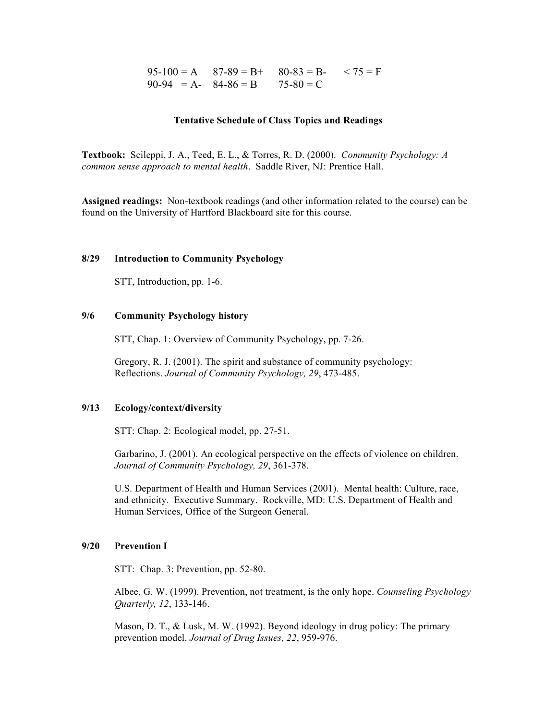$$
95-100 = A \qquad 87-89 = B+ \qquad 80-83 = B- \qquad 75 = F
$$
  

$$
90-94 = A- \qquad 84-86 = B \qquad 75-80 = C
$$

#### **Tentative Schedule of Class Topics and Readings**

**Textbook:** Scileppi, J. A., Teed, E. L., & Torres, R. D. (2000). *Community Psychology: A common sense approach to mental health*. Saddle River, NJ: Prentice Hall.

**Assigned readings:** Non-textbook readings (and other information related to the course) can be found on the University of Hartford Blackboard site for this course.

#### **8/29 Introduction to Community Psychology**

STT, Introduction, pp. 1-6.

# **9/6 Community Psychology history**

STT, Chap. 1: Overview of Community Psychology, pp. 7-26.

Gregory, R. J. (2001). The spirit and substance of community psychology: Reflections. *Journal of Community Psychology, 29*, 473-485.

## **9/13 Ecology/context/diversity**

STT: Chap. 2: Ecological model, pp. 27-51.

Garbarino, J. (2001). An ecological perspective on the effects of violence on children. *Journal of Community Psychology, 29*, 361-378.

U.S. Department of Health and Human Services (2001). Mental health: Culture, race, and ethnicity. Executive Summary. Rockville, MD: U.S. Department of Health and Human Services, Office of the Surgeon General.

## **9/20 Prevention I**

STT: Chap. 3: Prevention, pp. 52-80.

Albee, G. W. (1999). Prevention, not treatment, is the only hope. *Counseling Psychology Quarterly, 12*, 133-146.

Mason, D. T., & Lusk, M. W. (1992). Beyond ideology in drug policy: The primary prevention model. *Journal of Drug Issues, 22*, 959-976.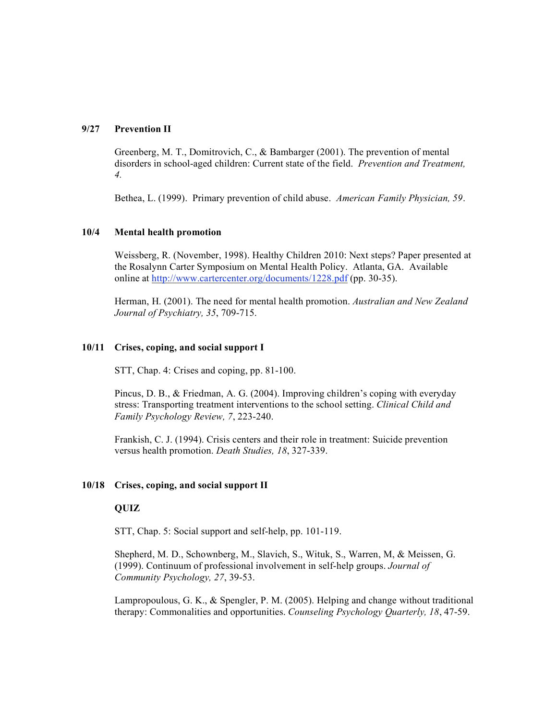## **9/27 Prevention II**

Greenberg, M. T., Domitrovich, C., & Bambarger (2001). The prevention of mental disorders in school-aged children: Current state of the field. *Prevention and Treatment, 4.*

Bethea, L. (1999). Primary prevention of child abuse. *American Family Physician, 59*.

# **10/4 Mental health promotion**

Weissberg, R. (November, 1998). Healthy Children 2010: Next steps? Paper presented at the Rosalynn Carter Symposium on Mental Health Policy. Atlanta, GA. Available online at http://www.cartercenter.org/documents/1228.pdf (pp. 30-35).

Herman, H. (2001). The need for mental health promotion. *Australian and New Zealand Journal of Psychiatry, 35*, 709-715.

# **10/11 Crises, coping, and social support I**

STT, Chap. 4: Crises and coping, pp. 81-100.

Pincus, D. B., & Friedman, A. G. (2004). Improving children's coping with everyday stress: Transporting treatment interventions to the school setting. *Clinical Child and Family Psychology Review, 7*, 223-240.

Frankish, C. J. (1994). Crisis centers and their role in treatment: Suicide prevention versus health promotion. *Death Studies, 18*, 327-339.

## **10/18 Crises, coping, and social support II**

# **QUIZ**

STT, Chap. 5: Social support and self-help, pp. 101-119.

Shepherd, M. D., Schownberg, M., Slavich, S., Wituk, S., Warren, M, & Meissen, G. (1999). Continuum of professional involvement in self-help groups. *Journal of Community Psychology, 27*, 39-53.

Lampropoulous, G. K., & Spengler, P. M. (2005). Helping and change without traditional therapy: Commonalities and opportunities. *Counseling Psychology Quarterly, 18*, 47-59.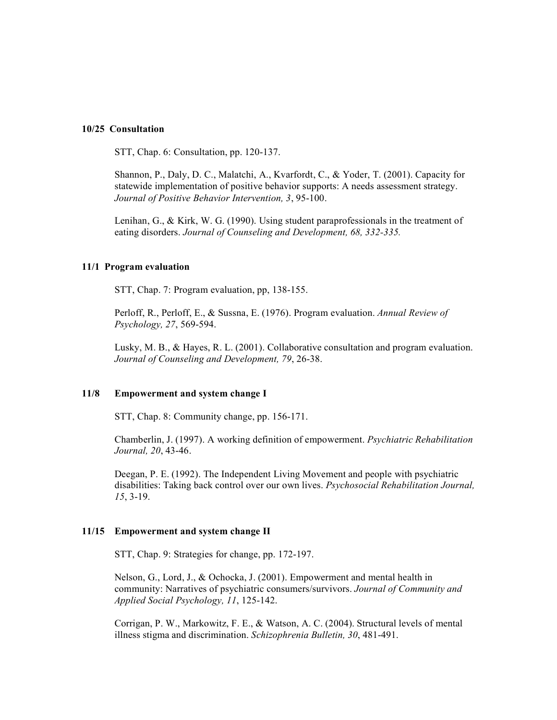#### **10/25 Consultation**

STT, Chap. 6: Consultation, pp. 120-137.

Shannon, P., Daly, D. C., Malatchi, A., Kvarfordt, C., & Yoder, T. (2001). Capacity for statewide implementation of positive behavior supports: A needs assessment strategy. *Journal of Positive Behavior Intervention, 3*, 95-100.

Lenihan, G., & Kirk, W. G. (1990). Using student paraprofessionals in the treatment of eating disorders. *Journal of Counseling and Development, 68, 332-335.*

#### **11/1 Program evaluation**

STT, Chap. 7: Program evaluation, pp, 138-155.

Perloff, R., Perloff, E., & Sussna, E. (1976). Program evaluation. *Annual Review of Psychology, 27*, 569-594.

Lusky, M. B., & Hayes, R. L. (2001). Collaborative consultation and program evaluation. *Journal of Counseling and Development, 79*, 26-38.

#### **11/8 Empowerment and system change I**

STT, Chap. 8: Community change, pp. 156-171.

Chamberlin, J. (1997). A working definition of empowerment. *Psychiatric Rehabilitation Journal, 20*, 43-46.

Deegan, P. E. (1992). The Independent Living Movement and people with psychiatric disabilities: Taking back control over our own lives. *Psychosocial Rehabilitation Journal, 15*, 3-19.

#### **11/15 Empowerment and system change II**

STT, Chap. 9: Strategies for change, pp. 172-197.

Nelson, G., Lord, J., & Ochocka, J. (2001). Empowerment and mental health in community: Narratives of psychiatric consumers/survivors. *Journal of Community and Applied Social Psychology, 11*, 125-142.

Corrigan, P. W., Markowitz, F. E., & Watson, A. C. (2004). Structural levels of mental illness stigma and discrimination. *Schizophrenia Bulletin, 30*, 481-491.